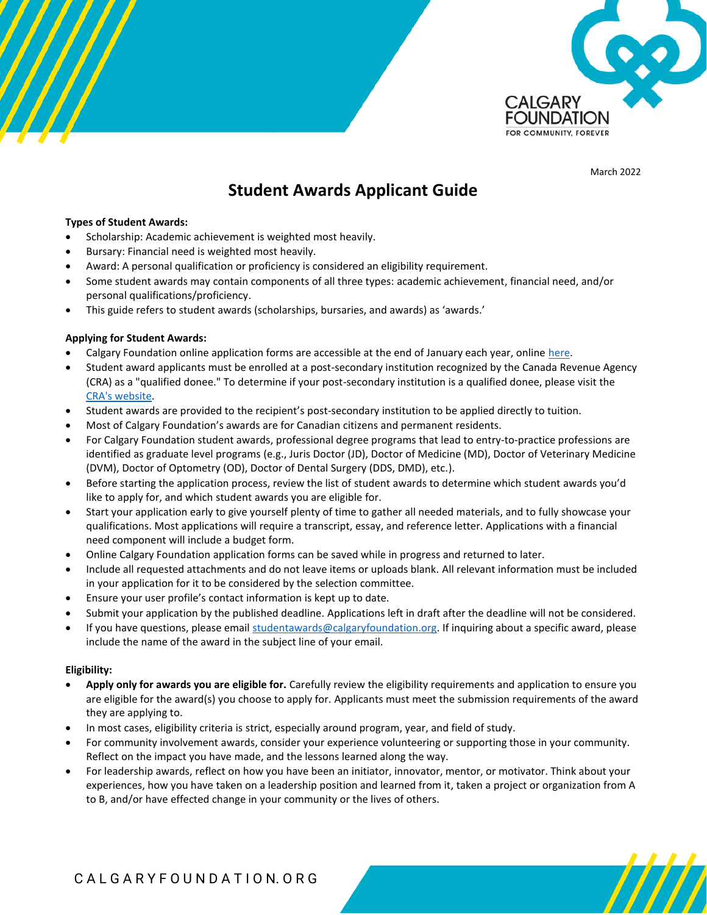

March 2022

/////

# **Student Awards Applicant Guide**

### **Types of Student Awards:**

- Scholarship: Academic achievement is weighted most heavily.
- Bursary: Financial need is weighted most heavily.
- Award: A personal qualification or proficiency is considered an eligibility requirement.
- Some student awards may contain components of all three types: academic achievement, financial need, and/or personal qualifications/proficiency.
- This guide refers to student awards (scholarships, bursaries, and awards) as 'awards.'

### **Applying for Student Awards:**

- Calgary Foundation online application forms are accessible at the end of January each year, online [here.](https://www.grantinterface.ca/Home/Logon?urlkey=thecalgaryfoundation&)
- Student award applicants must be enrolled at a post-secondary institution recognized by the Canada Revenue Agency (CRA) as a "qualified donee." To determine if your post-secondary institution is a qualified donee, please visit the [CRA's website.](https://www.canada.ca/en/revenue-agency/services/charities-giving/list-charities/list-charities-other-qualified-donees.html)
- Student awards are provided to the recipient's post-secondary institution to be applied directly to tuition.
- Most of Calgary Foundation's awards are for Canadian citizens and permanent residents.
- For Calgary Foundation student awards, professional degree programs that lead to entry-to-practice professions are identified as graduate level programs (e.g., Juris Doctor (JD), Doctor of Medicine (MD), Doctor of Veterinary Medicine (DVM), Doctor of Optometry (OD), Doctor of Dental Surgery (DDS, DMD), etc.).
- Before starting the application process, review the list of student awards to determine which student awards you'd like to apply for, and which student awards you are eligible for.
- Start your application early to give yourself plenty of time to gather all needed materials, and to fully showcase your qualifications. Most applications will require a transcript, essay, and reference letter. Applications with a financial need component will include a budget form.
- Online Calgary Foundation application forms can be saved while in progress and returned to later.
- Include all requested attachments and do not leave items or uploads blank. All relevant information must be included in your application for it to be considered by the selection committee.
- Ensure your user profile's contact information is kept up to date.
- Submit your application by the published deadline. Applications left in draft after the deadline will not be considered.
- If you have questions, please email [studentawards@calgaryfoundation.org.](mailto:studentawards@calgaryfoundation.org) If inquiring about a specific award, please include the name of the award in the subject line of your email.

### **Eligibility:**

- **Apply only for awards you are eligible for.** Carefully review the eligibility requirements and application to ensure you are eligible for the award(s) you choose to apply for. Applicants must meet the submission requirements of the award they are applying to.
- In most cases, eligibility criteria is strict, especially around program, year, and field of study.
- For community involvement awards, consider your experience volunteering or supporting those in your community. Reflect on the impact you have made, and the lessons learned along the way.
- For leadership awards, reflect on how you have been an initiator, innovator, mentor, or motivator. Think about your experiences, how you have taken on a leadership position and learned from it, taken a project or organization from A to B, and/or have effected change in your community or the lives of others.

# C A L G A R Y F O U N D A T I O N. O R G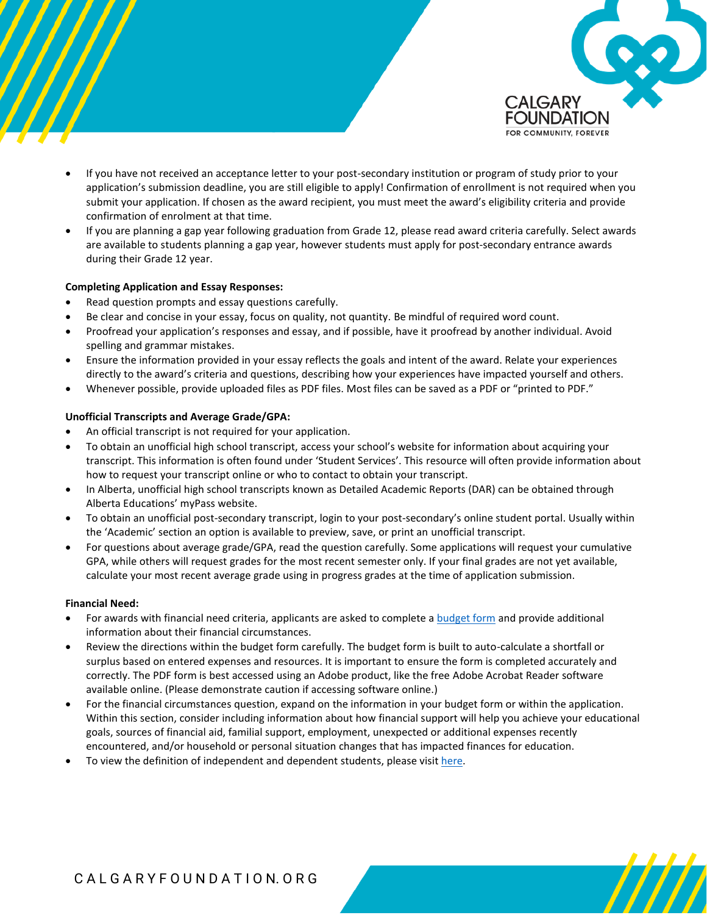

/////

- If you have not received an acceptance letter to your post-secondary institution or program of study prior to your application's submission deadline, you are still eligible to apply! Confirmation of enrollment is not required when you submit your application. If chosen as the award recipient, you must meet the award's eligibility criteria and provide confirmation of enrolment at that time.
- If you are planning a gap year following graduation from Grade 12, please read award criteria carefully. Select awards are available to students planning a gap year, however students must apply for post-secondary entrance awards during their Grade 12 year.

### **Completing Application and Essay Responses:**

- Read question prompts and essay questions carefully.
- Be clear and concise in your essay, focus on quality, not quantity. Be mindful of required word count.
- Proofread your application's responses and essay, and if possible, have it proofread by another individual. Avoid spelling and grammar mistakes.
- Ensure the information provided in your essay reflects the goals and intent of the award. Relate your experiences directly to the award's criteria and questions, describing how your experiences have impacted yourself and others.
- Whenever possible, provide uploaded files as PDF files. Most files can be saved as a PDF or "printed to PDF."

### **Unofficial Transcripts and Average Grade/GPA:**

- An official transcript is not required for your application.
- To obtain an unofficial high school transcript, access your school's website for information about acquiring your transcript. This information is often found under 'Student Services'. This resource will often provide information about how to request your transcript online or who to contact to obtain your transcript.
- In Alberta, unofficial high school transcripts known as Detailed Academic Reports (DAR) can be obtained through Alberta Educations' myPass website.
- To obtain an unofficial post-secondary transcript, login to your post-secondary's online student portal. Usually within the 'Academic' section an option is available to preview, save, or print an unofficial transcript.
- For questions about average grade/GPA, read the question carefully. Some applications will request your cumulative GPA, while others will request grades for the most recent semester only. If your final grades are not yet available, calculate your most recent average grade using in progress grades at the time of application submission.

### **Financial Need:**

- For awards with financial need criteria, applicants are asked to complete [a budget form](https://calgaryfoundation.org/wp-content/uploads/2022-Calgary-Foundation-Scholarship-and-Bursary-Budget-Form.pdf) and provide additional information about their financial circumstances.
- Review the directions within the budget form carefully. The budget form is built to auto-calculate a shortfall or surplus based on entered expenses and resources. It is important to ensure the form is completed accurately and correctly. The PDF form is best accessed using an Adobe product, like the free Adobe Acrobat Reader software available online. (Please demonstrate caution if accessing software online.)
- For the financial circumstances question, expand on the information in your budget form or within the application. Within this section, consider including information about how financial support will help you achieve your educational goals, sources of financial aid, familial support, employment, unexpected or additional expenses recently encountered, and/or household or personal situation changes that has impacted finances for education.
- To view the definition of independent and dependent students, please visit [here.](https://studentaid.alberta.ca/policy/student-aid-policy-manual/eligibility-for-student-loans-and-grants/independent-and-dependent-students/)

### C A L G A R Y F O U N D A T I O N. O R G